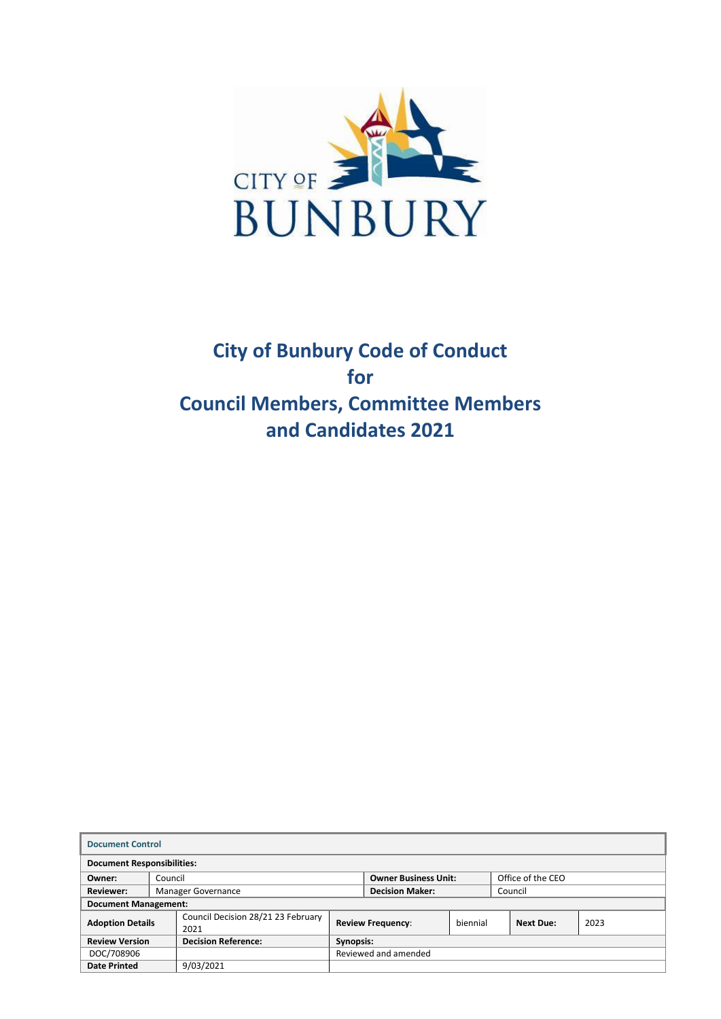

# **City of Bunbury Code of Conduct for Council Members, Committee Members and Candidates 2021**

| <b>Document Control</b>                             |         |                                            |                             |                        |                   |         |                  |      |  |
|-----------------------------------------------------|---------|--------------------------------------------|-----------------------------|------------------------|-------------------|---------|------------------|------|--|
| <b>Document Responsibilities:</b>                   |         |                                            |                             |                        |                   |         |                  |      |  |
| Owner:                                              | Council |                                            | <b>Owner Business Unit:</b> |                        | Office of the CEO |         |                  |      |  |
| <b>Reviewer:</b>                                    |         | Manager Governance                         |                             | <b>Decision Maker:</b> |                   | Council |                  |      |  |
| <b>Document Management:</b>                         |         |                                            |                             |                        |                   |         |                  |      |  |
| <b>Adoption Details</b>                             |         | Council Decision 28/21 23 February<br>2021 | Review Frequency:           |                        | biennial          |         | <b>Next Due:</b> | 2023 |  |
| <b>Decision Reference:</b><br><b>Review Version</b> |         | Synopsis:                                  |                             |                        |                   |         |                  |      |  |
| DOC/708906                                          |         |                                            | Reviewed and amended        |                        |                   |         |                  |      |  |
| <b>Date Printed</b>                                 |         | 9/03/2021                                  |                             |                        |                   |         |                  |      |  |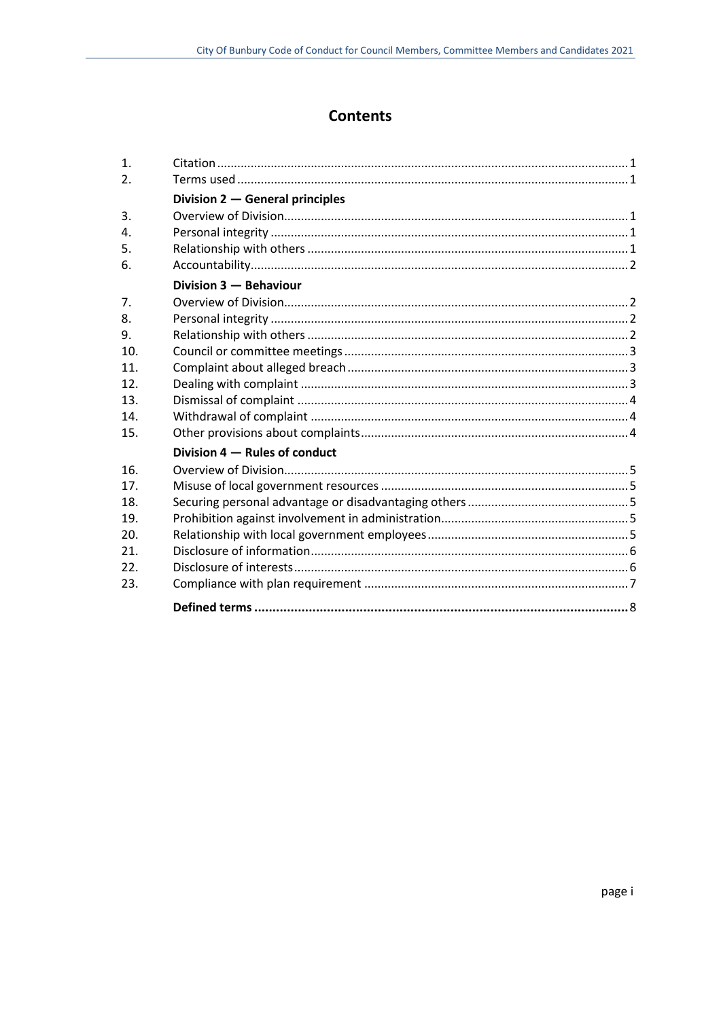# **Contents**

| 1.               |                                 |
|------------------|---------------------------------|
| $\overline{2}$ . |                                 |
|                  | Division 2 - General principles |
| 3.               |                                 |
| $\mathbf{4}$ .   |                                 |
| 5.               |                                 |
| 6.               |                                 |
|                  | Division 3 - Behaviour          |
| 7.               |                                 |
| 8.               |                                 |
| 9.               |                                 |
| 10.              |                                 |
| 11.              |                                 |
| 12.              |                                 |
| 13.              |                                 |
| 14.              |                                 |
| 15.              |                                 |
|                  | Division 4 – Rules of conduct   |
| 16.              |                                 |
| 17 <sub>1</sub>  |                                 |
| 18.              |                                 |
| 19.              |                                 |
| 20.              |                                 |
| 21.              |                                 |
| 22.              |                                 |
| 23.              |                                 |
|                  |                                 |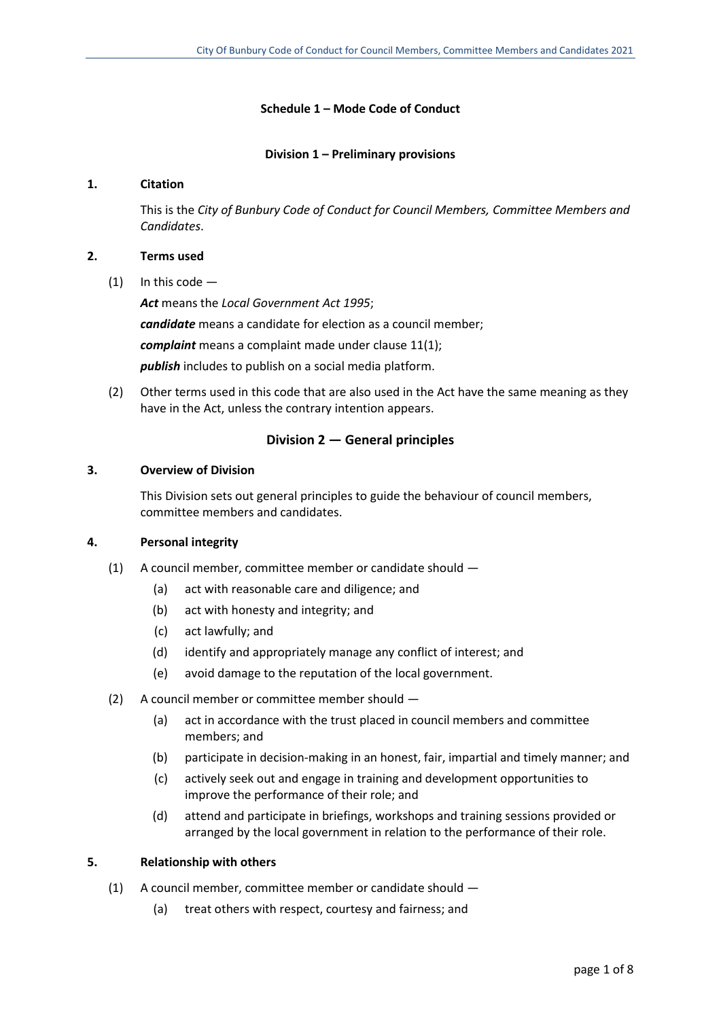## **Schedule 1 – Mode Code of Conduct**

#### **Division 1 – Preliminary provisions**

### **1. Citation**

This is the *City of Bunbury Code of Conduct for Council Members, Committee Members and Candidates*.

#### **2. Terms used**

 $(1)$  In this code —

*Act* means the *Local Government Act 1995*; *candidate* means a candidate for election as a council member; *complaint* means a complaint made under clause 11(1); *publish* includes to publish on a social media platform.

(2) Other terms used in this code that are also used in the Act have the same meaning as they have in the Act, unless the contrary intention appears.

# **Division 2 — General principles**

## **3. Overview of Division**

This Division sets out general principles to guide the behaviour of council members, committee members and candidates.

# **4. Personal integrity**

- (1) A council member, committee member or candidate should
	- (a) act with reasonable care and diligence; and
	- (b) act with honesty and integrity; and
	- (c) act lawfully; and
	- (d) identify and appropriately manage any conflict of interest; and
	- (e) avoid damage to the reputation of the local government.
- (2) A council member or committee member should
	- (a) act in accordance with the trust placed in council members and committee members; and
	- (b) participate in decision-making in an honest, fair, impartial and timely manner; and
	- (c) actively seek out and engage in training and development opportunities to improve the performance of their role; and
	- (d) attend and participate in briefings, workshops and training sessions provided or arranged by the local government in relation to the performance of their role.

#### **5. Relationship with others**

- (1) A council member, committee member or candidate should
	- (a) treat others with respect, courtesy and fairness; and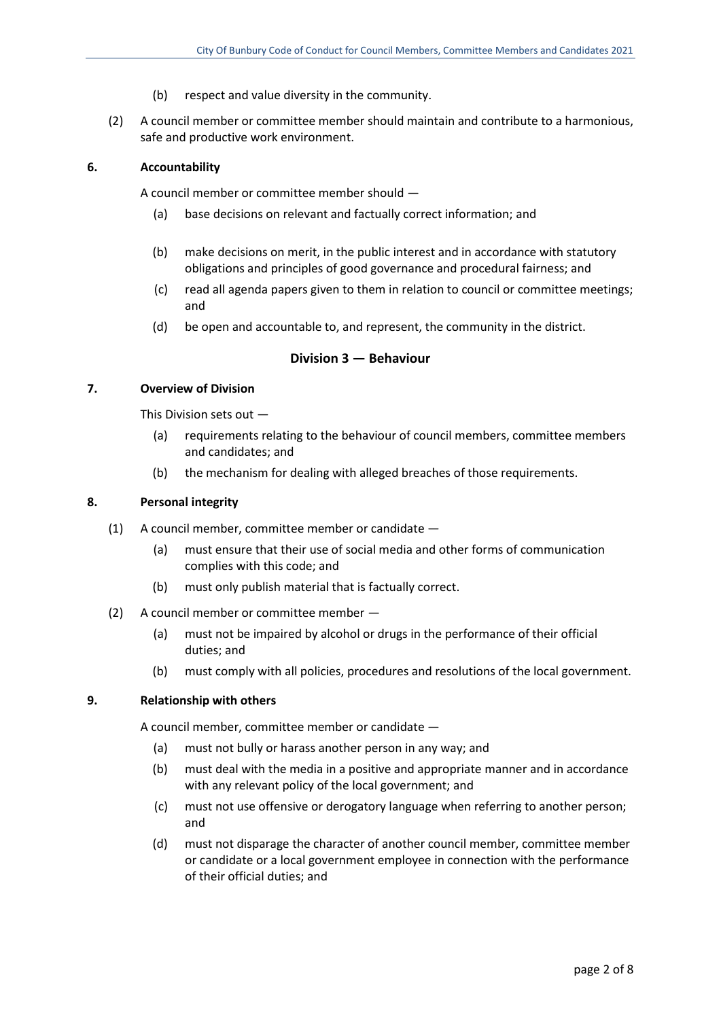- (b) respect and value diversity in the community.
- (2) A council member or committee member should maintain and contribute to a harmonious, safe and productive work environment.

### **6. Accountability**

A council member or committee member should —

- (a) base decisions on relevant and factually correct information; and
- (b) make decisions on merit, in the public interest and in accordance with statutory obligations and principles of good governance and procedural fairness; and
- (c) read all agenda papers given to them in relation to council or committee meetings; and
- (d) be open and accountable to, and represent, the community in the district.

# **Division 3 — Behaviour**

#### **7. Overview of Division**

This Division sets out —

- (a) requirements relating to the behaviour of council members, committee members and candidates; and
- (b) the mechanism for dealing with alleged breaches of those requirements.

### **8. Personal integrity**

- (1) A council member, committee member or candidate
	- (a) must ensure that their use of social media and other forms of communication complies with this code; and
	- (b) must only publish material that is factually correct.
- (2) A council member or committee member
	- (a) must not be impaired by alcohol or drugs in the performance of their official duties; and
	- (b) must comply with all policies, procedures and resolutions of the local government.

#### **9. Relationship with others**

A council member, committee member or candidate —

- (a) must not bully or harass another person in any way; and
- (b) must deal with the media in a positive and appropriate manner and in accordance with any relevant policy of the local government; and
- (c) must not use offensive or derogatory language when referring to another person; and
- (d) must not disparage the character of another council member, committee member or candidate or a local government employee in connection with the performance of their official duties; and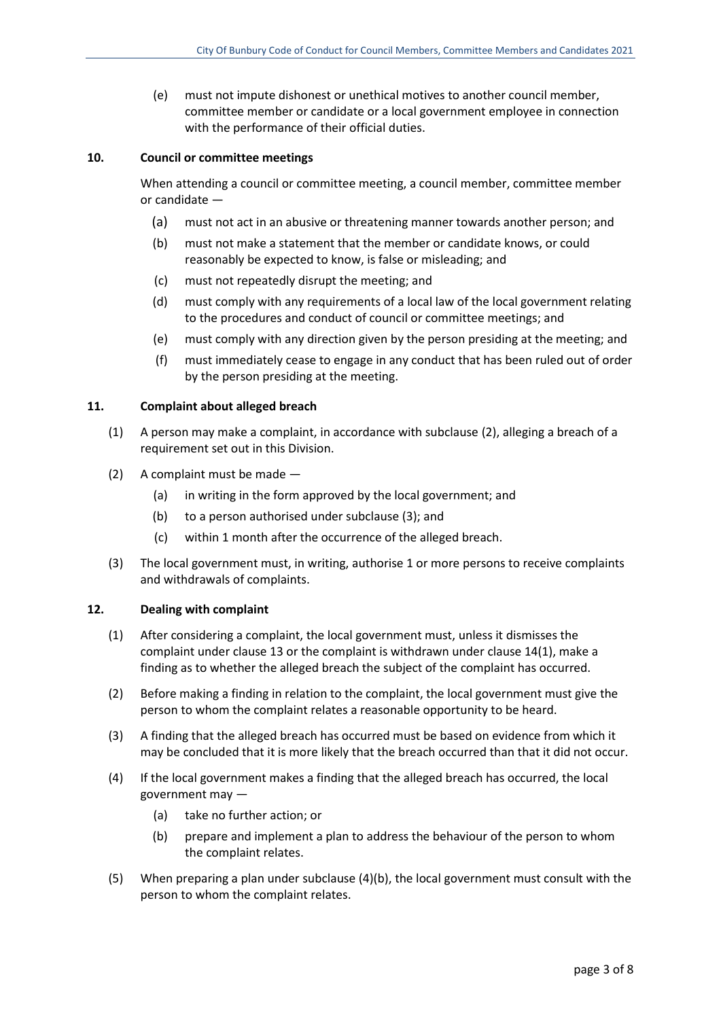(e) must not impute dishonest or unethical motives to another council member, committee member or candidate or a local government employee in connection with the performance of their official duties.

## **10. Council or committee meetings**

When attending a council or committee meeting, a council member, committee member or candidate —

- (a) must not act in an abusive or threatening manner towards another person; and
- (b) must not make a statement that the member or candidate knows, or could reasonably be expected to know, is false or misleading; and
- (c) must not repeatedly disrupt the meeting; and
- (d) must comply with any requirements of a local law of the local government relating to the procedures and conduct of council or committee meetings; and
- (e) must comply with any direction given by the person presiding at the meeting; and
- (f) must immediately cease to engage in any conduct that has been ruled out of order by the person presiding at the meeting.

#### **11. Complaint about alleged breach**

- (1) A person may make a complaint, in accordance with subclause (2), alleging a breach of a requirement set out in this Division.
- (2) A complaint must be made
	- (a) in writing in the form approved by the local government; and
	- (b) to a person authorised under subclause (3); and
	- (c) within 1 month after the occurrence of the alleged breach.
- (3) The local government must, in writing, authorise 1 or more persons to receive complaints and withdrawals of complaints.

#### **12. Dealing with complaint**

- (1) After considering a complaint, the local government must, unless it dismisses the complaint under clause 13 or the complaint is withdrawn under clause 14(1), make a finding as to whether the alleged breach the subject of the complaint has occurred.
- (2) Before making a finding in relation to the complaint, the local government must give the person to whom the complaint relates a reasonable opportunity to be heard.
- (3) A finding that the alleged breach has occurred must be based on evidence from which it may be concluded that it is more likely that the breach occurred than that it did not occur.
- (4) If the local government makes a finding that the alleged breach has occurred, the local government may —
	- (a) take no further action; or
	- (b) prepare and implement a plan to address the behaviour of the person to whom the complaint relates.
- (5) When preparing a plan under subclause (4)(b), the local government must consult with the person to whom the complaint relates.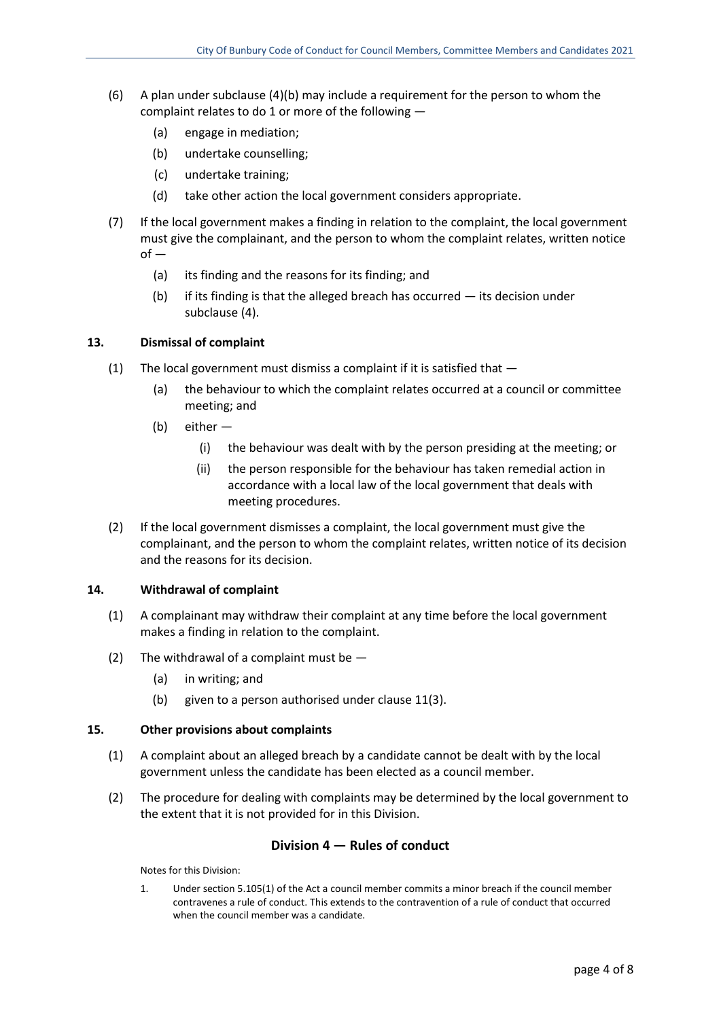- (6) A plan under subclause (4)(b) may include a requirement for the person to whom the complaint relates to do 1 or more of the following —
	- (a) engage in mediation;
	- (b) undertake counselling;
	- (c) undertake training;
	- (d) take other action the local government considers appropriate.
- (7) If the local government makes a finding in relation to the complaint, the local government must give the complainant, and the person to whom the complaint relates, written notice  $of -$ 
	- (a) its finding and the reasons for its finding; and
	- (b) if its finding is that the alleged breach has occurred its decision under subclause (4).

### **13. Dismissal of complaint**

- (1) The local government must dismiss a complaint if it is satisfied that
	- (a) the behaviour to which the complaint relates occurred at a council or committee meeting; and
	- (b) either
		- (i) the behaviour was dealt with by the person presiding at the meeting; or
		- (ii) the person responsible for the behaviour has taken remedial action in accordance with a local law of the local government that deals with meeting procedures.
- (2) If the local government dismisses a complaint, the local government must give the complainant, and the person to whom the complaint relates, written notice of its decision and the reasons for its decision.

### **14. Withdrawal of complaint**

- (1) A complainant may withdraw their complaint at any time before the local government makes a finding in relation to the complaint.
- (2) The withdrawal of a complaint must be  $-$ 
	- (a) in writing; and
	- (b) given to a person authorised under clause 11(3).

#### **15. Other provisions about complaints**

- (1) A complaint about an alleged breach by a candidate cannot be dealt with by the local government unless the candidate has been elected as a council member.
- (2) The procedure for dealing with complaints may be determined by the local government to the extent that it is not provided for in this Division.

# **Division 4 — Rules of conduct**

Notes for this Division:

1. Under section 5.105(1) of the Act a council member commits a minor breach if the council member contravenes a rule of conduct. This extends to the contravention of a rule of conduct that occurred when the council member was a candidate.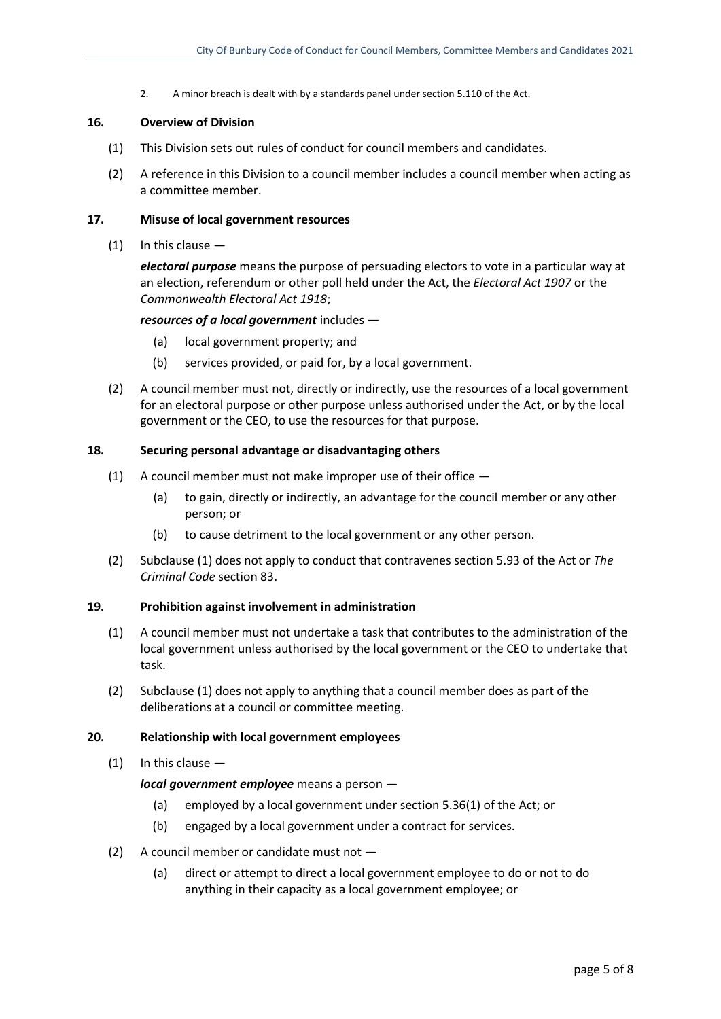2. A minor breach is dealt with by a standards panel under section 5.110 of the Act.

#### **16. Overview of Division**

- (1) This Division sets out rules of conduct for council members and candidates.
- (2) A reference in this Division to a council member includes a council member when acting as a committee member.

#### **17. Misuse of local government resources**

 $(1)$  In this clause  $-$ 

*electoral purpose* means the purpose of persuading electors to vote in a particular way at an election, referendum or other poll held under the Act, the *Electoral Act 1907* or the *Commonwealth Electoral Act 1918*;

#### *resources of a local government* includes —

- (a) local government property; and
- (b) services provided, or paid for, by a local government.
- (2) A council member must not, directly or indirectly, use the resources of a local government for an electoral purpose or other purpose unless authorised under the Act, or by the local government or the CEO, to use the resources for that purpose.

#### **18. Securing personal advantage or disadvantaging others**

- (1) A council member must not make improper use of their office
	- (a) to gain, directly or indirectly, an advantage for the council member or any other person; or
	- (b) to cause detriment to the local government or any other person.
- (2) Subclause (1) does not apply to conduct that contravenes section 5.93 of the Act or *The Criminal Code* section 83.

#### **19. Prohibition against involvement in administration**

- (1) A council member must not undertake a task that contributes to the administration of the local government unless authorised by the local government or the CEO to undertake that task.
- (2) Subclause (1) does not apply to anything that a council member does as part of the deliberations at a council or committee meeting.

#### **20. Relationship with local government employees**

 $(1)$  In this clause  $-$ 

*local government employee* means a person —

- (a) employed by a local government under section 5.36(1) of the Act; or
- (b) engaged by a local government under a contract for services.
- (2) A council member or candidate must not
	- (a) direct or attempt to direct a local government employee to do or not to do anything in their capacity as a local government employee; or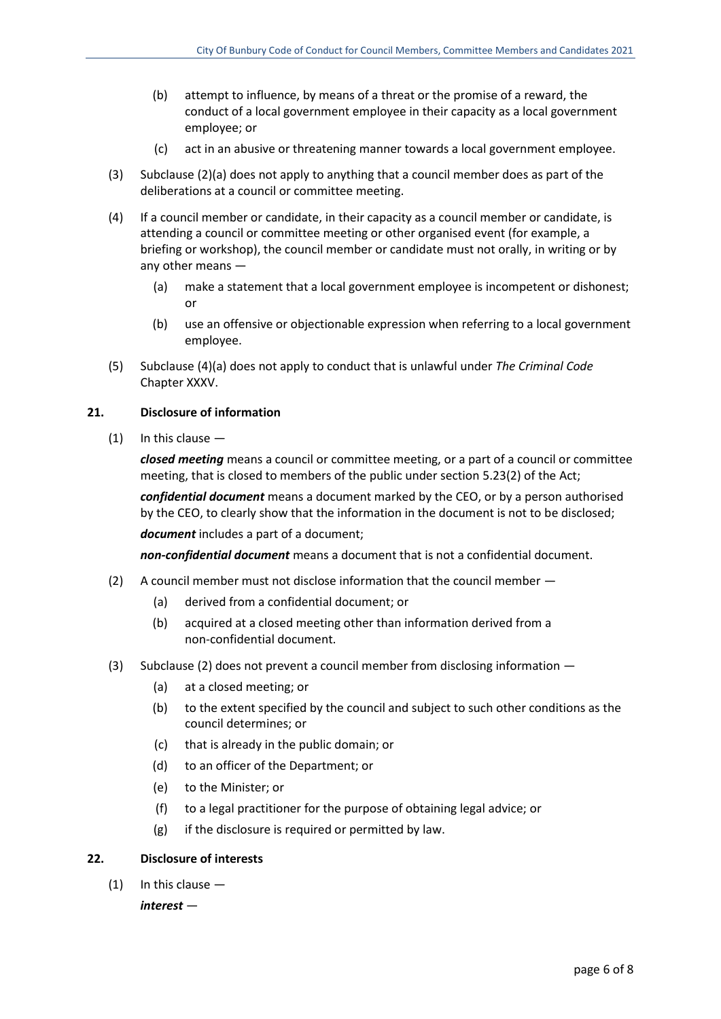- (b) attempt to influence, by means of a threat or the promise of a reward, the conduct of a local government employee in their capacity as a local government employee; or
- (c) act in an abusive or threatening manner towards a local government employee.
- (3) Subclause (2)(a) does not apply to anything that a council member does as part of the deliberations at a council or committee meeting.
- (4) If a council member or candidate, in their capacity as a council member or candidate, is attending a council or committee meeting or other organised event (for example, a briefing or workshop), the council member or candidate must not orally, in writing or by any other means —
	- (a) make a statement that a local government employee is incompetent or dishonest; or
	- (b) use an offensive or objectionable expression when referring to a local government employee.
- (5) Subclause (4)(a) does not apply to conduct that is unlawful under *The Criminal Code* Chapter XXXV.

### **21. Disclosure of information**

(1) In this clause —

*closed meeting* means a council or committee meeting, or a part of a council or committee meeting, that is closed to members of the public under section 5.23(2) of the Act;

*confidential document* means a document marked by the CEO, or by a person authorised by the CEO, to clearly show that the information in the document is not to be disclosed;

*document* includes a part of a document;

*non-confidential document* means a document that is not a confidential document.

- (2) A council member must not disclose information that the council member
	- (a) derived from a confidential document; or
	- (b) acquired at a closed meeting other than information derived from a non-confidential document.
- (3) Subclause (2) does not prevent a council member from disclosing information
	- (a) at a closed meeting; or
	- (b) to the extent specified by the council and subject to such other conditions as the council determines; or
	- (c) that is already in the public domain; or
	- (d) to an officer of the Department; or
	- (e) to the Minister; or
	- (f) to a legal practitioner for the purpose of obtaining legal advice; or
	- (g) if the disclosure is required or permitted by law.

# **22. Disclosure of interests**

 $(1)$  In this clause  $-$ 

*interest* —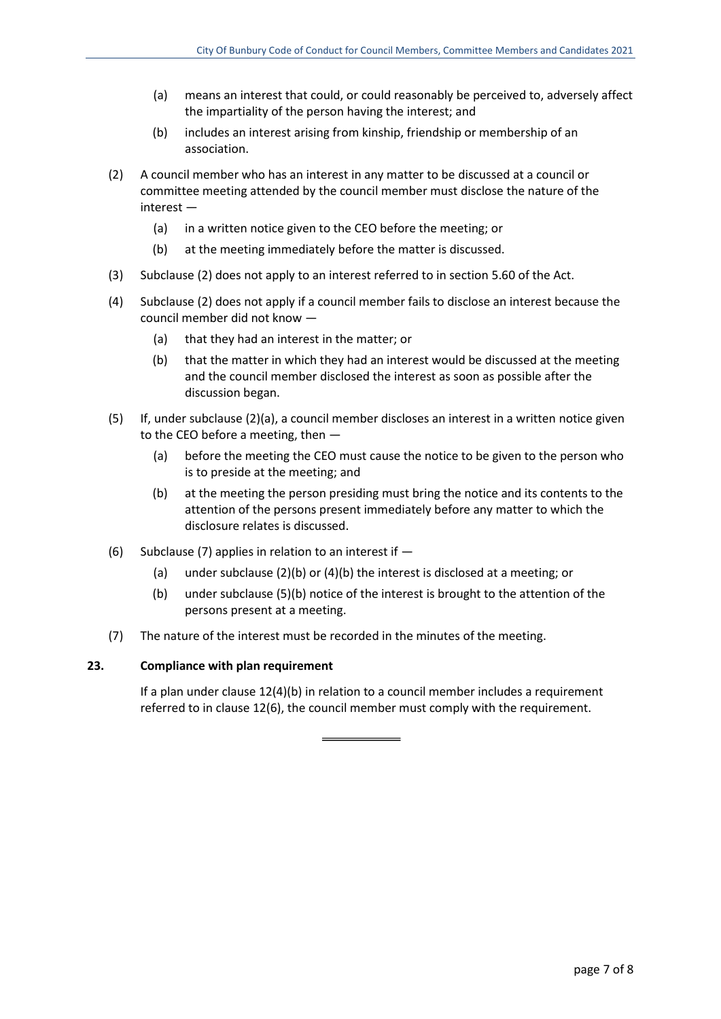- (a) means an interest that could, or could reasonably be perceived to, adversely affect the impartiality of the person having the interest; and
- (b) includes an interest arising from kinship, friendship or membership of an association.
- (2) A council member who has an interest in any matter to be discussed at a council or committee meeting attended by the council member must disclose the nature of the interest —
	- (a) in a written notice given to the CEO before the meeting; or
	- (b) at the meeting immediately before the matter is discussed.
- (3) Subclause (2) does not apply to an interest referred to in section 5.60 of the Act.
- (4) Subclause (2) does not apply if a council member fails to disclose an interest because the council member did not know —
	- (a) that they had an interest in the matter; or
	- (b) that the matter in which they had an interest would be discussed at the meeting and the council member disclosed the interest as soon as possible after the discussion began.
- (5) If, under subclause (2)(a), a council member discloses an interest in a written notice given to the CEO before a meeting, then —
	- (a) before the meeting the CEO must cause the notice to be given to the person who is to preside at the meeting; and
	- (b) at the meeting the person presiding must bring the notice and its contents to the attention of the persons present immediately before any matter to which the disclosure relates is discussed.
- (6) Subclause (7) applies in relation to an interest if  $-$ 
	- (a) under subclause (2)(b) or (4)(b) the interest is disclosed at a meeting; or
	- (b) under subclause (5)(b) notice of the interest is brought to the attention of the persons present at a meeting.
- (7) The nature of the interest must be recorded in the minutes of the meeting.

#### **23. Compliance with plan requirement**

If a plan under clause 12(4)(b) in relation to a council member includes a requirement referred to in clause 12(6), the council member must comply with the requirement.